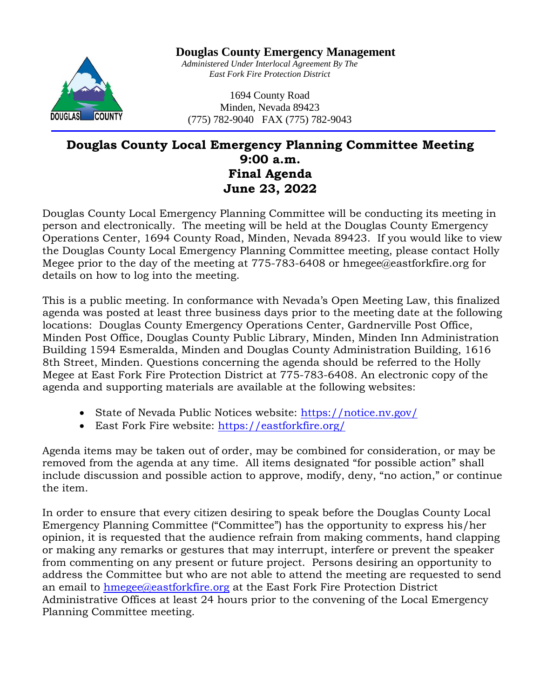

**Douglas County Emergency Management**

*Administered Under Interlocal Agreement By The East Fork Fire Protection District*

1694 County Road Minden, Nevada 89423 (775) 782-9040 FAX (775) 782-9043

# **Douglas County Local Emergency Planning Committee Meeting 9:00 a.m. Final Agenda June 23, 2022**

Douglas County Local Emergency Planning Committee will be conducting its meeting in person and electronically. The meeting will be held at the Douglas County Emergency Operations Center, 1694 County Road, Minden, Nevada 89423. If you would like to view the Douglas County Local Emergency Planning Committee meeting, please contact Holly Megee prior to the day of the meeting at 775-783-6408 or hmegee@eastforkfire.org for details on how to log into the meeting.

This is a public meeting. In conformance with Nevada's Open Meeting Law, this finalized agenda was posted at least three business days prior to the meeting date at the following locations: Douglas County Emergency Operations Center, Gardnerville Post Office, Minden Post Office, Douglas County Public Library, Minden, Minden Inn Administration Building 1594 Esmeralda, Minden and Douglas County Administration Building, 1616 8th Street, Minden. Questions concerning the agenda should be referred to the Holly Megee at East Fork Fire Protection District at 775-783-6408. An electronic copy of the agenda and supporting materials are available at the following websites:

- State of Nevada Public Notices website:<https://notice.nv.gov/>
- East Fork Fire website:<https://eastforkfire.org/>

Agenda items may be taken out of order, may be combined for consideration, or may be removed from the agenda at any time. All items designated "for possible action" shall include discussion and possible action to approve, modify, deny, "no action," or continue the item.

In order to ensure that every citizen desiring to speak before the Douglas County Local Emergency Planning Committee ("Committee") has the opportunity to express his/her opinion, it is requested that the audience refrain from making comments, hand clapping or making any remarks or gestures that may interrupt, interfere or prevent the speaker from commenting on any present or future project. Persons desiring an opportunity to address the Committee but who are not able to attend the meeting are requested to send an email to [hmegee@eastforkfire.org](mailto:hmegee@eastforkfire.org) at the East Fork Fire Protection District Administrative Offices at least 24 hours prior to the convening of the Local Emergency Planning Committee meeting.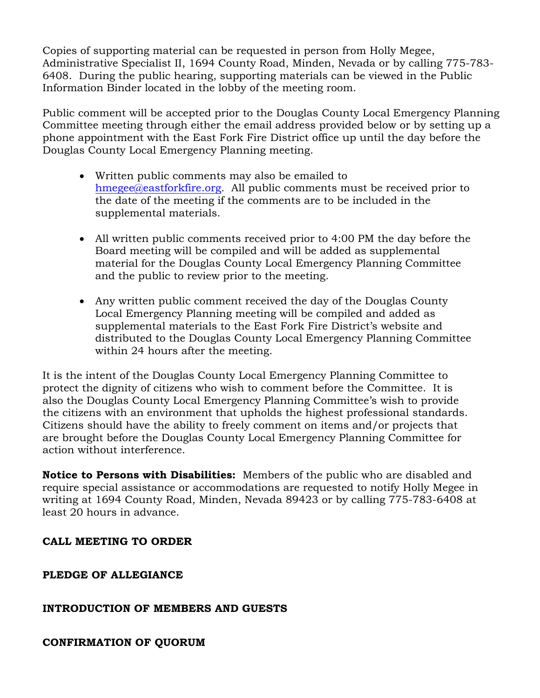Copies of supporting material can be requested in person from Holly Megee, Administrative Specialist II, 1694 County Road, Minden, Nevada or by calling 775-783- 6408. During the public hearing, supporting materials can be viewed in the Public Information Binder located in the lobby of the meeting room.

Public comment will be accepted prior to the Douglas County Local Emergency Planning Committee meeting through either the email address provided below or by setting up a phone appointment with the East Fork Fire District office up until the day before the Douglas County Local Emergency Planning meeting.

- Written public comments may also be emailed to [hmegee@eastforkfire.org.](mailto:hmegee@eastforkfire.org) All public comments must be received prior to the date of the meeting if the comments are to be included in the supplemental materials.
- All written public comments received prior to 4:00 PM the day before the Board meeting will be compiled and will be added as supplemental material for the Douglas County Local Emergency Planning Committee and the public to review prior to the meeting.
- Any written public comment received the day of the Douglas County Local Emergency Planning meeting will be compiled and added as supplemental materials to the East Fork Fire District's website and distributed to the Douglas County Local Emergency Planning Committee within 24 hours after the meeting.

It is the intent of the Douglas County Local Emergency Planning Committee to protect the dignity of citizens who wish to comment before the Committee. It is also the Douglas County Local Emergency Planning Committee's wish to provide the citizens with an environment that upholds the highest professional standards. Citizens should have the ability to freely comment on items and/or projects that are brought before the Douglas County Local Emergency Planning Committee for action without interference.

**Notice to Persons with Disabilities:** Members of the public who are disabled and require special assistance or accommodations are requested to notify Holly Megee in writing at 1694 County Road, Minden, Nevada 89423 or by calling 775-783-6408 at least 20 hours in advance.

## **CALL MEETING TO ORDER**

**PLEDGE OF ALLEGIANCE**

# **INTRODUCTION OF MEMBERS AND GUESTS**

**CONFIRMATION OF QUORUM**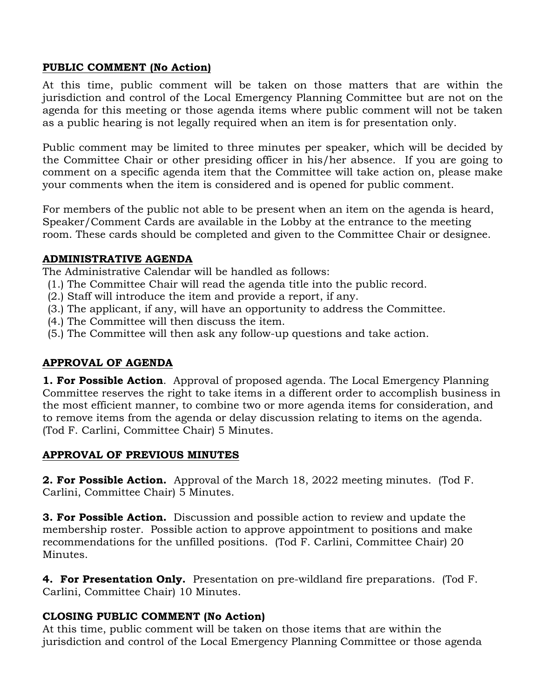## **PUBLIC COMMENT (No Action)**

At this time, public comment will be taken on those matters that are within the jurisdiction and control of the Local Emergency Planning Committee but are not on the agenda for this meeting or those agenda items where public comment will not be taken as a public hearing is not legally required when an item is for presentation only.

Public comment may be limited to three minutes per speaker, which will be decided by the Committee Chair or other presiding officer in his/her absence. If you are going to comment on a specific agenda item that the Committee will take action on, please make your comments when the item is considered and is opened for public comment.

For members of the public not able to be present when an item on the agenda is heard, Speaker/Comment Cards are available in the Lobby at the entrance to the meeting room. These cards should be completed and given to the Committee Chair or designee.

#### **ADMINISTRATIVE AGENDA**

The Administrative Calendar will be handled as follows:

- (1.) The Committee Chair will read the agenda title into the public record.
- (2.) Staff will introduce the item and provide a report, if any.
- (3.) The applicant, if any, will have an opportunity to address the Committee.
- (4.) The Committee will then discuss the item.
- (5.) The Committee will then ask any follow-up questions and take action.

#### **APPROVAL OF AGENDA**

**1. For Possible Action**. Approval of proposed agenda. The Local Emergency Planning Committee reserves the right to take items in a different order to accomplish business in the most efficient manner, to combine two or more agenda items for consideration, and to remove items from the agenda or delay discussion relating to items on the agenda. (Tod F. Carlini, Committee Chair) 5 Minutes.

#### **APPROVAL OF PREVIOUS MINUTES**

**2. For Possible Action.** Approval of the March 18, 2022 meeting minutes. (Tod F. Carlini, Committee Chair) 5 Minutes.

**3. For Possible Action.** Discussion and possible action to review and update the membership roster. Possible action to approve appointment to positions and make recommendations for the unfilled positions. (Tod F. Carlini, Committee Chair) 20 Minutes.

**4. For Presentation Only.** Presentation on pre-wildland fire preparations. (Tod F. Carlini, Committee Chair) 10 Minutes.

#### **CLOSING PUBLIC COMMENT (No Action)**

At this time, public comment will be taken on those items that are within the jurisdiction and control of the Local Emergency Planning Committee or those agenda